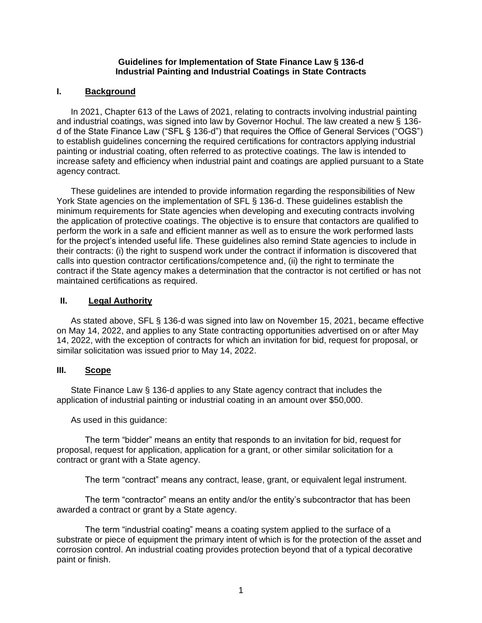#### **Guidelines for Implementation of State Finance Law § 136-d Industrial Painting and Industrial Coatings in State Contracts**

## **I. Background**

In 2021, Chapter 613 of the Laws of 2021, relating to contracts involving industrial painting and industrial coatings, was signed into law by Governor Hochul. The law created a new § 136 d of the State Finance Law ("SFL § 136-d") that requires the Office of General Services ("OGS") to establish guidelines concerning the required certifications for contractors applying industrial painting or industrial coating, often referred to as protective coatings. The law is intended to increase safety and efficiency when industrial paint and coatings are applied pursuant to a State agency contract.

These guidelines are intended to provide information regarding the responsibilities of New York State agencies on the implementation of SFL § 136-d. These guidelines establish the minimum requirements for State agencies when developing and executing contracts involving the application of protective coatings. The objective is to ensure that contactors are qualified to perform the work in a safe and efficient manner as well as to ensure the work performed lasts for the project's intended useful life. These guidelines also remind State agencies to include in their contracts: (i) the right to suspend work under the contract if information is discovered that calls into question contractor certifications/competence and, (ii) the right to terminate the contract if the State agency makes a determination that the contractor is not certified or has not maintained certifications as required.

### **II. Legal Authority**

As stated above, SFL § 136-d was signed into law on November 15, 2021, became effective on May 14, 2022, and applies to any State contracting opportunities advertised on or after May 14, 2022, with the exception of contracts for which an invitation for bid, request for proposal, or similar solicitation was issued prior to May 14, 2022.

## **III. Scope**

State Finance Law § 136-d applies to any State agency contract that includes the application of industrial painting or industrial coating in an amount over \$50,000.

As used in this guidance:

The term "bidder" means an entity that responds to an invitation for bid, request for proposal, request for application, application for a grant, or other similar solicitation for a contract or grant with a State agency.

The term "contract" means any contract, lease, grant, or equivalent legal instrument.

The term "contractor" means an entity and/or the entity's subcontractor that has been awarded a contract or grant by a State agency.

The term "industrial coating" means a coating system applied to the surface of a substrate or piece of equipment the primary intent of which is for the protection of the asset and corrosion control. An industrial coating provides protection beyond that of a typical decorative paint or finish.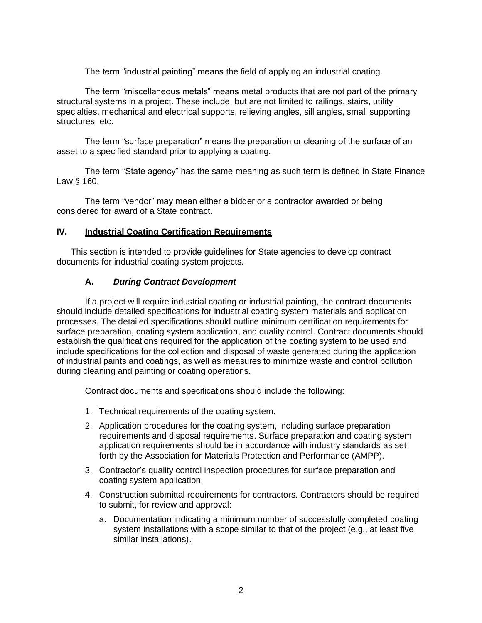The term "industrial painting" means the field of applying an industrial coating.

The term "miscellaneous metals" means metal products that are not part of the primary structural systems in a project. These include, but are not limited to railings, stairs, utility specialties, mechanical and electrical supports, relieving angles, sill angles, small supporting structures, etc.

The term "surface preparation" means the preparation or cleaning of the surface of an asset to a specified standard prior to applying a coating.

The term "State agency" has the same meaning as such term is defined in State Finance Law § 160.

The term "vendor" may mean either a bidder or a contractor awarded or being considered for award of a State contract.

### **IV. Industrial Coating Certification Requirements**

This section is intended to provide guidelines for State agencies to develop contract documents for industrial coating system projects.

### **A.** *During Contract Development*

If a project will require industrial coating or industrial painting, the contract documents should include detailed specifications for industrial coating system materials and application processes. The detailed specifications should outline minimum certification requirements for surface preparation, coating system application, and quality control. Contract documents should establish the qualifications required for the application of the coating system to be used and include specifications for the collection and disposal of waste generated during the application of industrial paints and coatings, as well as measures to minimize waste and control pollution during cleaning and painting or coating operations.

Contract documents and specifications should include the following:

- 1. Technical requirements of the coating system.
- 2. Application procedures for the coating system, including surface preparation requirements and disposal requirements. Surface preparation and coating system application requirements should be in accordance with industry standards as set forth by the Association for Materials Protection and Performance (AMPP).
- 3. Contractor's quality control inspection procedures for surface preparation and coating system application.
- 4. Construction submittal requirements for contractors. Contractors should be required to submit, for review and approval:
	- a. Documentation indicating a minimum number of successfully completed coating system installations with a scope similar to that of the project (e.g., at least five similar installations).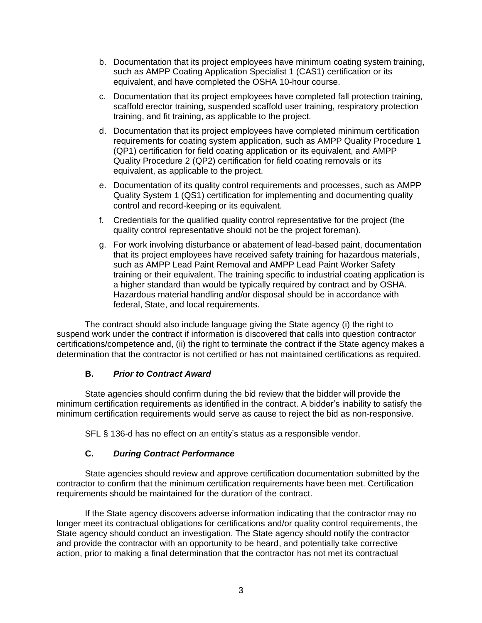- b. Documentation that its project employees have minimum coating system training, such as AMPP Coating Application Specialist 1 (CAS1) certification or its equivalent, and have completed the OSHA 10-hour course.
- c. Documentation that its project employees have completed fall protection training, scaffold erector training, suspended scaffold user training, respiratory protection training, and fit training, as applicable to the project.
- d. Documentation that its project employees have completed minimum certification requirements for coating system application, such as AMPP Quality Procedure 1 (QP1) certification for field coating application or its equivalent, and AMPP Quality Procedure 2 (QP2) certification for field coating removals or its equivalent, as applicable to the project.
- e. Documentation of its quality control requirements and processes, such as AMPP Quality System 1 (QS1) certification for implementing and documenting quality control and record-keeping or its equivalent.
- f. Credentials for the qualified quality control representative for the project (the quality control representative should not be the project foreman).
- g. For work involving disturbance or abatement of lead-based paint, documentation that its project employees have received safety training for hazardous materials, such as AMPP Lead Paint Removal and AMPP Lead Paint Worker Safety training or their equivalent. The training specific to industrial coating application is a higher standard than would be typically required by contract and by OSHA. Hazardous material handling and/or disposal should be in accordance with federal, State, and local requirements.

The contract should also include language giving the State agency (i) the right to suspend work under the contract if information is discovered that calls into question contractor certifications/competence and, (ii) the right to terminate the contract if the State agency makes a determination that the contractor is not certified or has not maintained certifications as required.

# **B.** *Prior to Contract Award*

State agencies should confirm during the bid review that the bidder will provide the minimum certification requirements as identified in the contract. A bidder's inability to satisfy the minimum certification requirements would serve as cause to reject the bid as non-responsive.

SFL § 136-d has no effect on an entity's status as a responsible vendor.

# **C.** *During Contract Performance*

State agencies should review and approve certification documentation submitted by the contractor to confirm that the minimum certification requirements have been met. Certification requirements should be maintained for the duration of the contract.

If the State agency discovers adverse information indicating that the contractor may no longer meet its contractual obligations for certifications and/or quality control requirements, the State agency should conduct an investigation. The State agency should notify the contractor and provide the contractor with an opportunity to be heard, and potentially take corrective action, prior to making a final determination that the contractor has not met its contractual